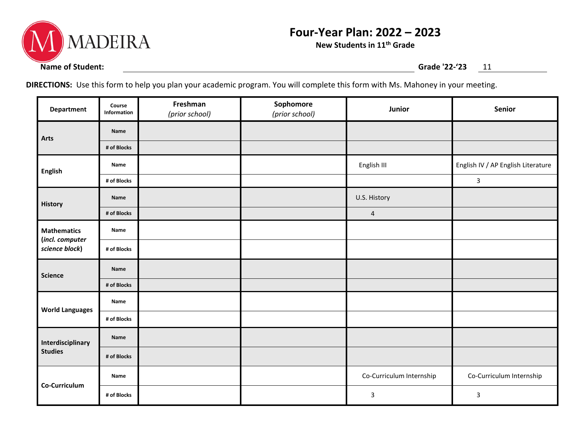

## **Four-Year Plan: 2022 – 2023**

**New Students in 11th Grade**

**DIRECTIONS:** Use this form to help you plan your academic program. You will complete this form with Ms. Mahoney in your meeting.

| <b>Department</b>                                       | Course<br>Information | Freshman<br>(prior school) | Sophomore<br>(prior school) | Junior                   | Senior                             |
|---------------------------------------------------------|-----------------------|----------------------------|-----------------------------|--------------------------|------------------------------------|
| Arts                                                    | Name                  |                            |                             |                          |                                    |
|                                                         | # of Blocks           |                            |                             |                          |                                    |
| <b>English</b>                                          | Name                  |                            |                             | English III              | English IV / AP English Literature |
|                                                         | # of Blocks           |                            |                             |                          | $\mathbf{3}$                       |
| History                                                 | Name                  |                            |                             | U.S. History             |                                    |
|                                                         | # of Blocks           |                            |                             | $\overline{a}$           |                                    |
| <b>Mathematics</b><br>(incl. computer<br>science block) | Name                  |                            |                             |                          |                                    |
|                                                         | # of Blocks           |                            |                             |                          |                                    |
| <b>Science</b>                                          | Name                  |                            |                             |                          |                                    |
|                                                         | # of Blocks           |                            |                             |                          |                                    |
| <b>World Languages</b>                                  | Name                  |                            |                             |                          |                                    |
|                                                         | # of Blocks           |                            |                             |                          |                                    |
| Interdisciplinary<br><b>Studies</b>                     | Name                  |                            |                             |                          |                                    |
|                                                         | # of Blocks           |                            |                             |                          |                                    |
| Co-Curriculum                                           | Name                  |                            |                             | Co-Curriculum Internship | Co-Curriculum Internship           |
|                                                         | # of Blocks           |                            |                             | 3                        | $\mathsf 3$                        |